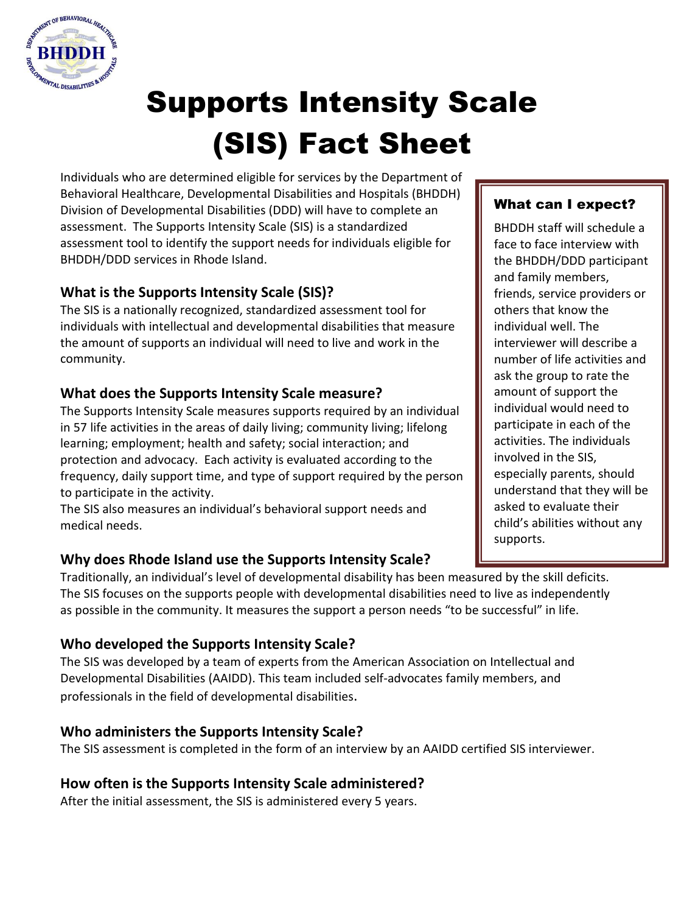

# Supports Intensity Scale (SIS) Fact Sheet

Individuals who are determined eligible for services by the Department of Behavioral Healthcare, Developmental Disabilities and Hospitals (BHDDH) Division of Developmental Disabilities (DDD) will have to complete an assessment. The Supports Intensity Scale (SIS) is a standardized assessment tool to identify the support needs for individuals eligible for BHDDH/DDD services in Rhode Island.

# **What is the Supports Intensity Scale (SIS)?**

The SIS is a nationally recognized, standardized assessment tool for individuals with intellectual and developmental disabilities that measure the amount of supports an individual will need to live and work in the community.

## **What does the Supports Intensity Scale measure?**

The Supports Intensity Scale measures supports required by an individual in 57 life activities in the areas of daily living; community living; lifelong learning; employment; health and safety; social interaction; and protection and advocacy. Each activity is evaluated according to the frequency, daily support time, and type of support required by the person to participate in the activity.

The SIS also measures an individual's behavioral support needs and medical needs.

# **Why does Rhode Island use the Supports Intensity Scale?**

Traditionally, an individual's level of developmental disability has been measured by the skill deficits. *takes between 1.5 - 3 hours* The SIS focuses on the supports people with developmental disabilities need to live as independently *to complete.*as possible in the community. It measures the support a person needs "to be successful" in life. *The assessment generally*

## **Who developed the Supports Intensity Scale?**

The SIS was developed by a team of experts from the American Association on Intellectual and Developmental Disabilities (AAIDD). This team included self-advocates family members, and professionals in the field of developmental disabilities.

## **Who administers the Supports Intensity Scale?**

The SIS assessment is completed in the form of an interview by an AAIDD certified SIS interviewer.

# **How often is the Supports Intensity Scale administered?**

After the initial assessment, the SIS is administered every 5 years.

## What can I expect?

BHDDH staff will schedule a face to face interview with the BHDDH/DDD participant and family members, friends, service providers or others that know the individual well. The interviewer will describe a number of life activities and ask the group to rate the amount of support the individual would need to participate in each of the activities. The individuals involved in the SIS, especially parents, should understand that they will be asked to evaluate their child's abilities without any supports.